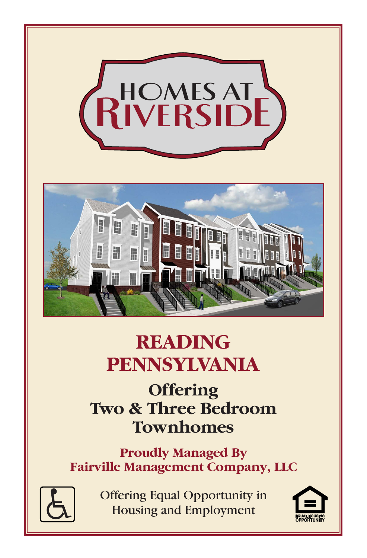

## **READING PENNSYLVANIA**

## **Offering Two & Three Bedroom Townhomes**

**Proudly Managed By Fairville Management Company, LLC**



Offering Equal Opportunity in **Housing and Employment** 

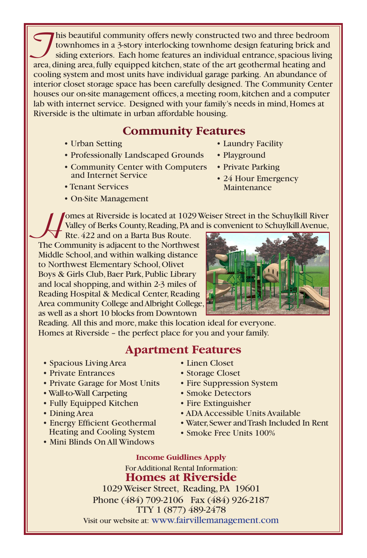This beautiful community offers newly constructed two and three bedroom<br>townhomes in a 3-story interlocking townhome design featuring brick and<br>siding exteriors. Each home features an individual entrance, spacious living<br>a townhomes in a 3-story interlocking townhome design featuring brick and siding exteriors. Each home features an individual entrance, spacious living area, dining area, fully equipped kitchen, state of the art geothermal heating and cooling system and most units have individual garage parking. An abundance of interior closet storage space has been carefully designed. The Community Center houses our on-site management offices, a meeting room, kitchen and a computer lab with internet service. Designed with your family's needs in mind, Homes at Riverside is the ultimate in urban affordable housing.

## **Community Features**

- Urban Setting
- Professionally Landscaped Grounds
- Community Center with Computers and Internet Service
- Tenant Services
- On-Site Management
- Laundry Facility
- Playground
- Private Parking
- 24 Hour Emergency Maintenance

**H**omes at Riverside is located at 1029 Weiser Street in the Schuylkill River Valley of Berks County, Reading, PA and is convenient to Schuylkill Avenue,

Rte. 422 and on a Barta Bus Route. The Community is adjacent to the Northwest Middle School, and within walking distance to Northwest Elementary School, Olivet Boys & Girls Club, Baer Park, Public Library and local shopping, and within 2-3 miles of Reading Hospital & Medical Center, Reading Area community College and Albright College, as well as a short 10 blocks from Downtown



Reading. All this and more, make this location ideal for everyone. Homes at Riverside – the perfect place for you and your family.

## **Apartment Features**

- Spacious Living Area
- Private Entrances
- Private Garage for Most Units
- Wall-to-Wall Carpeting
- Fully Equipped Kitchen
- Dining Area
- Energy Efficient Geothermal Heating and Cooling System
- Mini Blinds On All Windows
- Linen Closet
- Storage Closet
- Fire Suppression System
- Smoke Detectors
- Fire Extinguisher
- ADA Accessible Units Available
- Water, Sewer and Trash Included In Rent
- Smoke Free Units 100%

**Income Guidlines Apply** For Additional Rental Information: **Homes at Riverside** 1029 Weiser Street, Reading, PA 19601

Phone (484) 709-2106 Fax (484) 926-2187 TTY 1 (877) 489-2478 Visit our website at: www.fairvillemanagement.com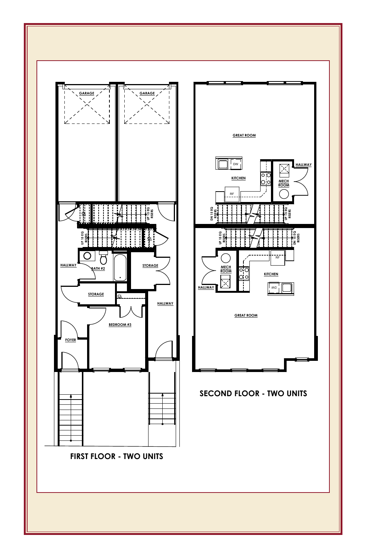